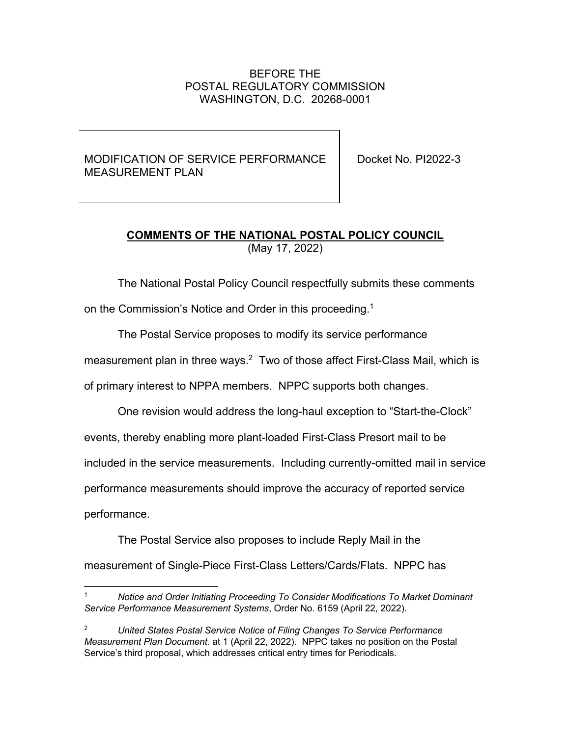## BEFORE THE POSTAL REGULATORY COMMISSION WASHINGTON, D.C. 20268-0001

## MODIFICATION OF SERVICE PERFORMANCE MEASUREMENT PLAN

Docket No. PI2022-3

## **COMMENTS OF THE NATIONAL POSTAL POLICY COUNCIL**  (May 17, 2022)

The National Postal Policy Council respectfully submits these comments

on the Commission's Notice and Order in this proceeding.<sup>1</sup>

The Postal Service proposes to modify its service performance

measurement plan in three ways.<sup>2</sup> Two of those affect First-Class Mail, which is

of primary interest to NPPA members. NPPC supports both changes.

One revision would address the long-haul exception to "Start-the-Clock"

events, thereby enabling more plant-loaded First-Class Presort mail to be

included in the service measurements. Including currently-omitted mail in service

performance measurements should improve the accuracy of reported service

performance.

The Postal Service also proposes to include Reply Mail in the

measurement of Single-Piece First-Class Letters/Cards/Flats. NPPC has

<sup>1</sup> *Notice and Order Initiating Proceeding To Consider Modifications To Market Dominant Service Performance Measurement Systems*, Order No. 6159 (April 22, 2022).

<sup>2</sup> *United States Postal Service Notice of Filing Changes To Service Performance Measurement Plan Document.* at 1 (April 22, 2022). NPPC takes no position on the Postal Service's third proposal, which addresses critical entry times for Periodicals.